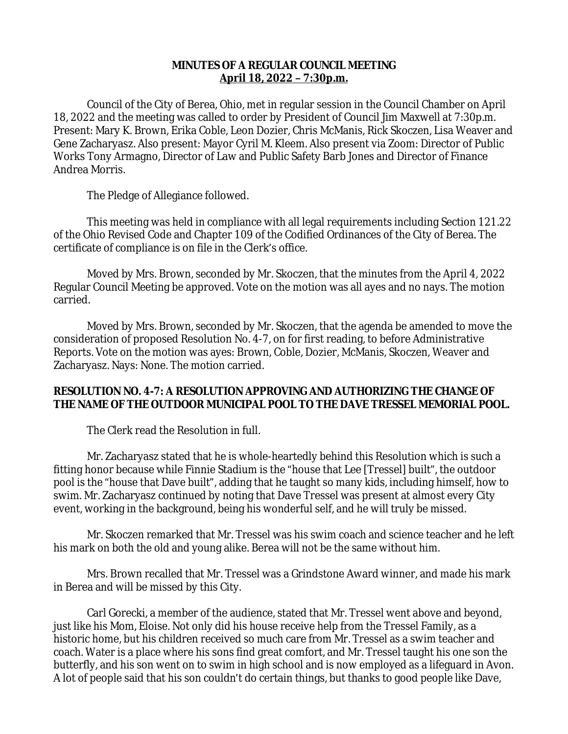## **MINUTES OF A REGULAR COUNCIL MEETING April 18, 2022 – 7:30p.m.**

Council of the City of Berea, Ohio, met in regular session in the Council Chamber on April 18, 2022 and the meeting was called to order by President of Council Jim Maxwell at 7:30p.m. Present: Mary K. Brown, Erika Coble, Leon Dozier, Chris McManis, Rick Skoczen, Lisa Weaver and Gene Zacharyasz. Also present: Mayor Cyril M. Kleem. Also present via Zoom: Director of Public Works Tony Armagno, Director of Law and Public Safety Barb Jones and Director of Finance Andrea Morris.

The Pledge of Allegiance followed.

This meeting was held in compliance with all legal requirements including Section 121.22 of the Ohio Revised Code and Chapter 109 of the Codified Ordinances of the City of Berea. The certificate of compliance is on file in the Clerk's office.

Moved by Mrs. Brown, seconded by Mr. Skoczen, that the minutes from the April 4, 2022 Regular Council Meeting be approved. Vote on the motion was all ayes and no nays. The motion carried.

Moved by Mrs. Brown, seconded by Mr. Skoczen, that the agenda be amended to move the consideration of proposed Resolution No. 4-7, on for first reading, to before Administrative Reports. Vote on the motion was ayes: Brown, Coble, Dozier, McManis, Skoczen, Weaver and Zacharyasz. Nays: None. The motion carried.

# **RESOLUTION NO. 4-7: A RESOLUTION APPROVING AND AUTHORIZING THE CHANGE OF THE NAME OF THE OUTDOOR MUNICIPAL POOL TO THE DAVE TRESSEL MEMORIAL POOL.**

The Clerk read the Resolution in full.

Mr. Zacharyasz stated that he is whole-heartedly behind this Resolution which is such a fitting honor because while Finnie Stadium is the "house that Lee [Tressel] built", the outdoor pool is the "house that Dave built", adding that he taught so many kids, including himself, how to swim. Mr. Zacharyasz continued by noting that Dave Tressel was present at almost every City event, working in the background, being his wonderful self, and he will truly be missed.

Mr. Skoczen remarked that Mr. Tressel was his swim coach and science teacher and he left his mark on both the old and young alike. Berea will not be the same without him.

Mrs. Brown recalled that Mr. Tressel was a Grindstone Award winner, and made his mark in Berea and will be missed by this City.

Carl Gorecki, a member of the audience, stated that Mr. Tressel went above and beyond, just like his Mom, Eloise. Not only did his house receive help from the Tressel Family, as a historic home, but his children received so much care from Mr. Tressel as a swim teacher and coach. Water is a place where his sons find great comfort, and Mr. Tressel taught his one son the butterfly, and his son went on to swim in high school and is now employed as a lifeguard in Avon. A lot of people said that his son couldn't do certain things, but thanks to good people like Dave,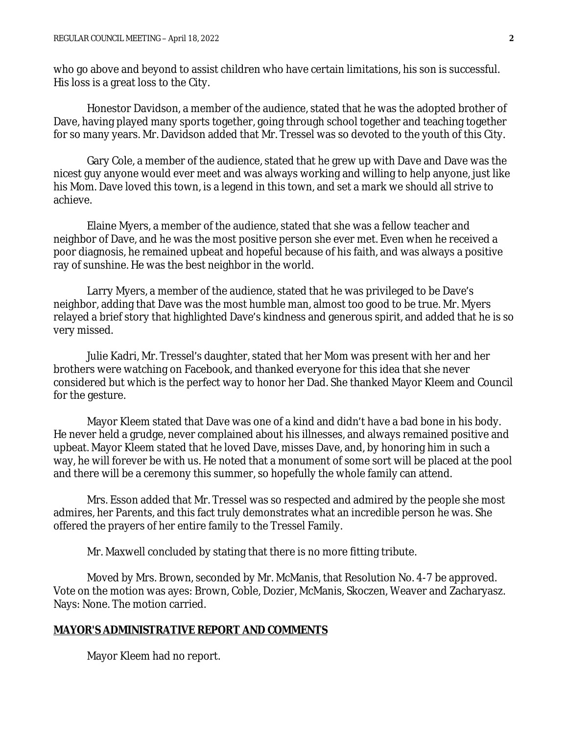who go above and beyond to assist children who have certain limitations, his son is successful. His loss is a great loss to the City.

Honestor Davidson, a member of the audience, stated that he was the adopted brother of Dave, having played many sports together, going through school together and teaching together for so many years. Mr. Davidson added that Mr. Tressel was so devoted to the youth of this City.

Gary Cole, a member of the audience, stated that he grew up with Dave and Dave was the nicest guy anyone would ever meet and was always working and willing to help anyone, just like his Mom. Dave loved this town, is a legend in this town, and set a mark we should all strive to achieve.

Elaine Myers, a member of the audience, stated that she was a fellow teacher and neighbor of Dave, and he was the most positive person she ever met. Even when he received a poor diagnosis, he remained upbeat and hopeful because of his faith, and was always a positive ray of sunshine. He was the best neighbor in the world.

Larry Myers, a member of the audience, stated that he was privileged to be Dave's neighbor, adding that Dave was the most humble man, almost too good to be true. Mr. Myers relayed a brief story that highlighted Dave's kindness and generous spirit, and added that he is so very missed.

Julie Kadri, Mr. Tressel's daughter, stated that her Mom was present with her and her brothers were watching on Facebook, and thanked everyone for this idea that she never considered but which is the perfect way to honor her Dad. She thanked Mayor Kleem and Council for the gesture.

Mayor Kleem stated that Dave was one of a kind and didn't have a bad bone in his body. He never held a grudge, never complained about his illnesses, and always remained positive and upbeat. Mayor Kleem stated that he loved Dave, misses Dave, and, by honoring him in such a way, he will forever be with us. He noted that a monument of some sort will be placed at the pool and there will be a ceremony this summer, so hopefully the whole family can attend.

Mrs. Esson added that Mr. Tressel was so respected and admired by the people she most admires, her Parents, and this fact truly demonstrates what an incredible person he was. She offered the prayers of her entire family to the Tressel Family.

Mr. Maxwell concluded by stating that there is no more fitting tribute.

Moved by Mrs. Brown, seconded by Mr. McManis, that Resolution No. 4-7 be approved. Vote on the motion was ayes: Brown, Coble, Dozier, McManis, Skoczen, Weaver and Zacharyasz. Nays: None. The motion carried.

### **MAYOR'S ADMINISTRATIVE REPORT AND COMMENTS**

Mayor Kleem had no report.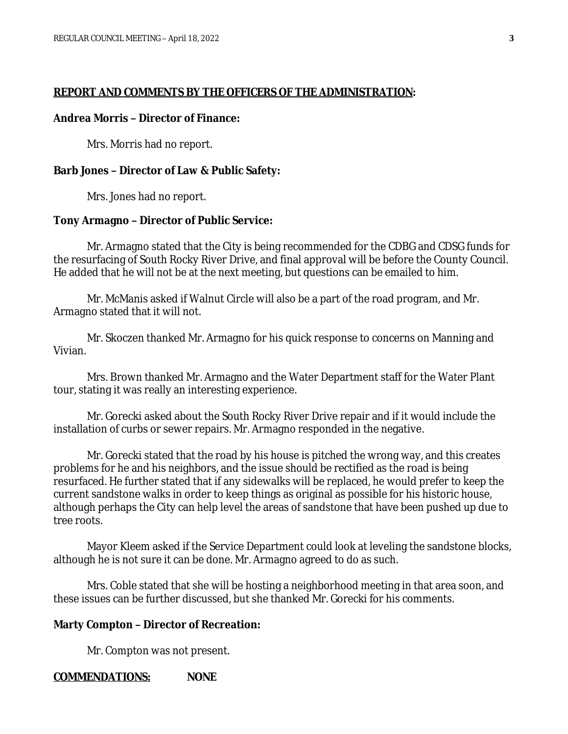### **REPORT AND COMMENTS BY THE OFFICERS OF THE ADMINISTRATION:**

### **Andrea Morris – Director of Finance:**

Mrs. Morris had no report.

### **Barb Jones – Director of Law & Public Safety:**

Mrs. Jones had no report.

### **Tony Armagno – Director of Public Service:**

Mr. Armagno stated that the City is being recommended for the CDBG and CDSG funds for the resurfacing of South Rocky River Drive, and final approval will be before the County Council. He added that he will not be at the next meeting, but questions can be emailed to him.

Mr. McManis asked if Walnut Circle will also be a part of the road program, and Mr. Armagno stated that it will not.

Mr. Skoczen thanked Mr. Armagno for his quick response to concerns on Manning and Vivian.

Mrs. Brown thanked Mr. Armagno and the Water Department staff for the Water Plant tour, stating it was really an interesting experience.

Mr. Gorecki asked about the South Rocky River Drive repair and if it would include the installation of curbs or sewer repairs. Mr. Armagno responded in the negative.

Mr. Gorecki stated that the road by his house is pitched the wrong way, and this creates problems for he and his neighbors, and the issue should be rectified as the road is being resurfaced. He further stated that if any sidewalks will be replaced, he would prefer to keep the current sandstone walks in order to keep things as original as possible for his historic house, although perhaps the City can help level the areas of sandstone that have been pushed up due to tree roots.

Mayor Kleem asked if the Service Department could look at leveling the sandstone blocks, although he is not sure it can be done. Mr. Armagno agreed to do as such.

Mrs. Coble stated that she will be hosting a neighborhood meeting in that area soon, and these issues can be further discussed, but she thanked Mr. Gorecki for his comments.

### **Marty Compton – Director of Recreation:**

Mr. Compton was not present.

### **COMMENDATIONS: NONE**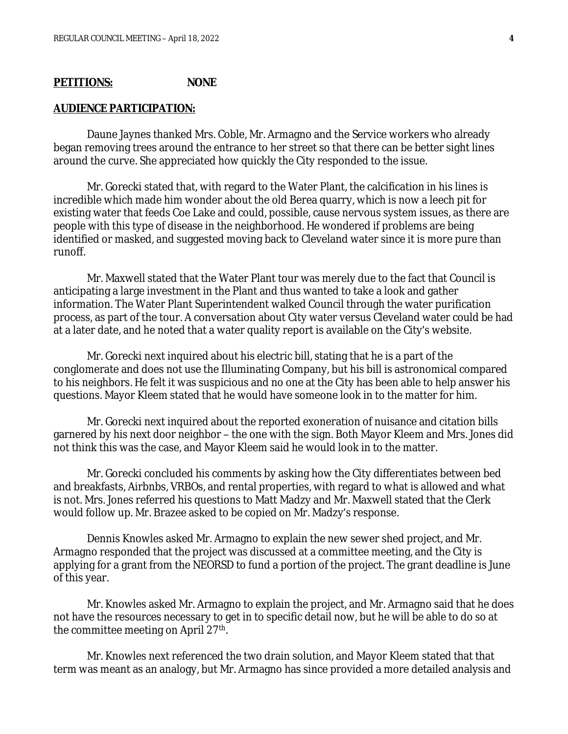## **PETITIONS: NONE**

### **AUDIENCE PARTICIPATION:**

Daune Jaynes thanked Mrs. Coble, Mr. Armagno and the Service workers who already began removing trees around the entrance to her street so that there can be better sight lines around the curve. She appreciated how quickly the City responded to the issue.

Mr. Gorecki stated that, with regard to the Water Plant, the calcification in his lines is incredible which made him wonder about the old Berea quarry, which is now a leech pit for existing water that feeds Coe Lake and could, possible, cause nervous system issues, as there are people with this type of disease in the neighborhood. He wondered if problems are being identified or masked, and suggested moving back to Cleveland water since it is more pure than runoff.

Mr. Maxwell stated that the Water Plant tour was merely due to the fact that Council is anticipating a large investment in the Plant and thus wanted to take a look and gather information. The Water Plant Superintendent walked Council through the water purification process, as part of the tour. A conversation about City water versus Cleveland water could be had at a later date, and he noted that a water quality report is available on the City's website.

Mr. Gorecki next inquired about his electric bill, stating that he is a part of the conglomerate and does not use the Illuminating Company, but his bill is astronomical compared to his neighbors. He felt it was suspicious and no one at the City has been able to help answer his questions. Mayor Kleem stated that he would have someone look in to the matter for him.

Mr. Gorecki next inquired about the reported exoneration of nuisance and citation bills garnered by his next door neighbor – the one with the sign. Both Mayor Kleem and Mrs. Jones did not think this was the case, and Mayor Kleem said he would look in to the matter.

Mr. Gorecki concluded his comments by asking how the City differentiates between bed and breakfasts, Airbnbs, VRBOs, and rental properties, with regard to what is allowed and what is not. Mrs. Jones referred his questions to Matt Madzy and Mr. Maxwell stated that the Clerk would follow up. Mr. Brazee asked to be copied on Mr. Madzy's response.

Dennis Knowles asked Mr. Armagno to explain the new sewer shed project, and Mr. Armagno responded that the project was discussed at a committee meeting, and the City is applying for a grant from the NEORSD to fund a portion of the project. The grant deadline is June of this year.

Mr. Knowles asked Mr. Armagno to explain the project, and Mr. Armagno said that he does not have the resources necessary to get in to specific detail now, but he will be able to do so at the committee meeting on April 27<sup>th</sup>.

Mr. Knowles next referenced the two drain solution, and Mayor Kleem stated that that term was meant as an analogy, but Mr. Armagno has since provided a more detailed analysis and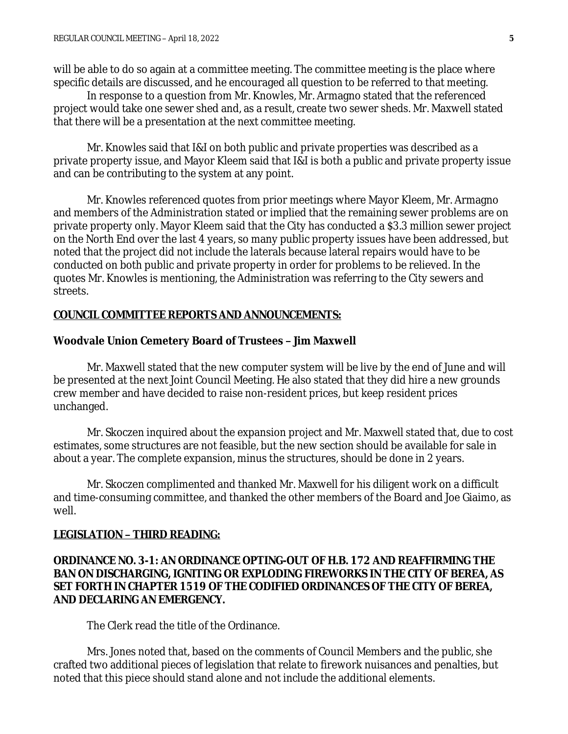will be able to do so again at a committee meeting. The committee meeting is the place where specific details are discussed, and he encouraged all question to be referred to that meeting.

In response to a question from Mr. Knowles, Mr. Armagno stated that the referenced project would take one sewer shed and, as a result, create two sewer sheds. Mr. Maxwell stated that there will be a presentation at the next committee meeting.

Mr. Knowles said that I&I on both public and private properties was described as a private property issue, and Mayor Kleem said that I&I is both a public and private property issue and can be contributing to the system at any point.

Mr. Knowles referenced quotes from prior meetings where Mayor Kleem, Mr. Armagno and members of the Administration stated or implied that the remaining sewer problems are on private property only. Mayor Kleem said that the City has conducted a \$3.3 million sewer project on the North End over the last 4 years, so many public property issues have been addressed, but noted that the project did not include the laterals because lateral repairs would have to be conducted on both public and private property in order for problems to be relieved. In the quotes Mr. Knowles is mentioning, the Administration was referring to the City sewers and streets.

### **COUNCIL COMMITTEE REPORTS AND ANNOUNCEMENTS:**

### **Woodvale Union Cemetery Board of Trustees – Jim Maxwell**

Mr. Maxwell stated that the new computer system will be live by the end of June and will be presented at the next Joint Council Meeting. He also stated that they did hire a new grounds crew member and have decided to raise non-resident prices, but keep resident prices unchanged.

Mr. Skoczen inquired about the expansion project and Mr. Maxwell stated that, due to cost estimates, some structures are not feasible, but the new section should be available for sale in about a year. The complete expansion, minus the structures, should be done in 2 years.

Mr. Skoczen complimented and thanked Mr. Maxwell for his diligent work on a difficult and time-consuming committee, and thanked the other members of the Board and Joe Giaimo, as well.

### **LEGISLATION – THIRD READING:**

## **ORDINANCE NO. 3-1: AN ORDINANCE OPTING-OUT OF H.B. 172 AND REAFFIRMING THE BAN ON DISCHARGING, IGNITING OR EXPLODING FIREWORKS IN THE CITY OF BEREA, AS SET FORTH IN CHAPTER 1519 OF THE CODIFIED ORDINANCES OF THE CITY OF BEREA, AND DECLARING AN EMERGENCY.**

The Clerk read the title of the Ordinance.

Mrs. Jones noted that, based on the comments of Council Members and the public, she crafted two additional pieces of legislation that relate to firework nuisances and penalties, but noted that this piece should stand alone and not include the additional elements.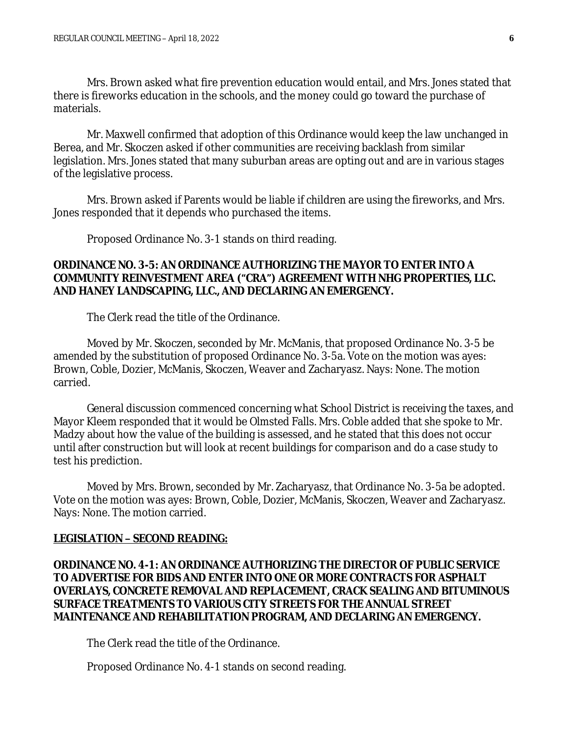Mrs. Brown asked what fire prevention education would entail, and Mrs. Jones stated that there is fireworks education in the schools, and the money could go toward the purchase of materials.

Mr. Maxwell confirmed that adoption of this Ordinance would keep the law unchanged in Berea, and Mr. Skoczen asked if other communities are receiving backlash from similar legislation. Mrs. Jones stated that many suburban areas are opting out and are in various stages of the legislative process.

Mrs. Brown asked if Parents would be liable if children are using the fireworks, and Mrs. Jones responded that it depends who purchased the items.

Proposed Ordinance No. 3-1 stands on third reading.

## **ORDINANCE NO. 3-5: AN ORDINANCE AUTHORIZING THE MAYOR TO ENTER INTO A COMMUNITY REINVESTMENT AREA ("CRA") AGREEMENT WITH NHG PROPERTIES, LLC. AND HANEY LANDSCAPING, LLC., AND DECLARING AN EMERGENCY.**

The Clerk read the title of the Ordinance.

Moved by Mr. Skoczen, seconded by Mr. McManis, that proposed Ordinance No. 3-5 be amended by the substitution of proposed Ordinance No. 3-5a. Vote on the motion was ayes: Brown, Coble, Dozier, McManis, Skoczen, Weaver and Zacharyasz. Nays: None. The motion carried.

General discussion commenced concerning what School District is receiving the taxes, and Mayor Kleem responded that it would be Olmsted Falls. Mrs. Coble added that she spoke to Mr. Madzy about how the value of the building is assessed, and he stated that this does not occur until after construction but will look at recent buildings for comparison and do a case study to test his prediction.

Moved by Mrs. Brown, seconded by Mr. Zacharyasz, that Ordinance No. 3-5a be adopted. Vote on the motion was ayes: Brown, Coble, Dozier, McManis, Skoczen, Weaver and Zacharyasz. Nays: None. The motion carried.

#### **LEGISLATION – SECOND READING:**

**ORDINANCE NO. 4-1: AN ORDINANCE AUTHORIZING THE DIRECTOR OF PUBLIC SERVICE TO ADVERTISE FOR BIDS AND ENTER INTO ONE OR MORE CONTRACTS FOR ASPHALT OVERLAYS, CONCRETE REMOVAL AND REPLACEMENT, CRACK SEALING AND BITUMINOUS SURFACE TREATMENTS TO VARIOUS CITY STREETS FOR THE ANNUAL STREET MAINTENANCE AND REHABILITATION PROGRAM, AND DECLARING AN EMERGENCY.**

The Clerk read the title of the Ordinance.

Proposed Ordinance No. 4-1 stands on second reading.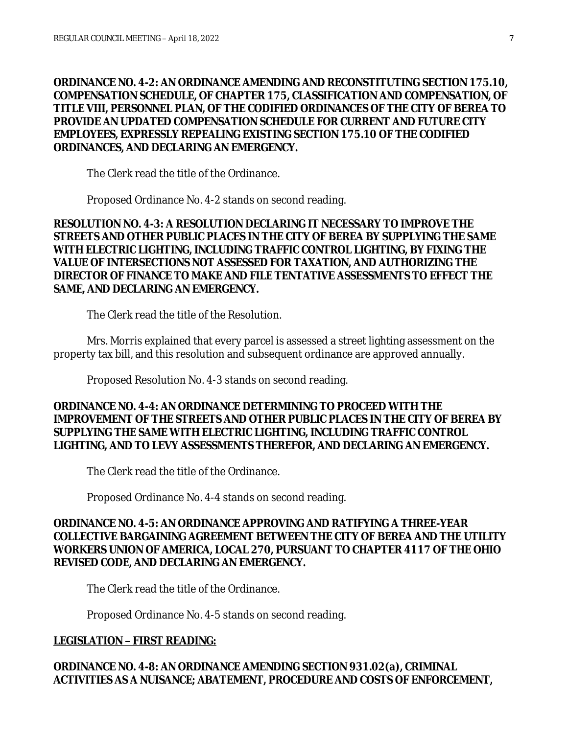**ORDINANCE NO. 4-2: AN ORDINANCE AMENDING AND RECONSTITUTING SECTION 175.10, COMPENSATION SCHEDULE, OF CHAPTER 175, CLASSIFICATION AND COMPENSATION, OF TITLE VIII, PERSONNEL PLAN, OF THE CODIFIED ORDINANCES OF THE CITY OF BEREA TO PROVIDE AN UPDATED COMPENSATION SCHEDULE FOR CURRENT AND FUTURE CITY EMPLOYEES, EXPRESSLY REPEALING EXISTING SECTION 175.10 OF THE CODIFIED ORDINANCES, AND DECLARING AN EMERGENCY.**

The Clerk read the title of the Ordinance.

Proposed Ordinance No. 4-2 stands on second reading.

**RESOLUTION NO. 4-3: A RESOLUTION DECLARING IT NECESSARY TO IMPROVE THE STREETS AND OTHER PUBLIC PLACES IN THE CITY OF BEREA BY SUPPLYING THE SAME WITH ELECTRIC LIGHTING, INCLUDING TRAFFIC CONTROL LIGHTING, BY FIXING THE VALUE OF INTERSECTIONS NOT ASSESSED FOR TAXATION, AND AUTHORIZING THE DIRECTOR OF FINANCE TO MAKE AND FILE TENTATIVE ASSESSMENTS TO EFFECT THE SAME, AND DECLARING AN EMERGENCY.**

The Clerk read the title of the Resolution.

Mrs. Morris explained that every parcel is assessed a street lighting assessment on the property tax bill, and this resolution and subsequent ordinance are approved annually.

Proposed Resolution No. 4-3 stands on second reading.

# **ORDINANCE NO. 4-4: AN ORDINANCE DETERMINING TO PROCEED WITH THE IMPROVEMENT OF THE STREETS AND OTHER PUBLIC PLACES IN THE CITY OF BEREA BY SUPPLYING THE SAME WITH ELECTRIC LIGHTING, INCLUDING TRAFFIC CONTROL LIGHTING, AND TO LEVY ASSESSMENTS THEREFOR, AND DECLARING AN EMERGENCY.**

The Clerk read the title of the Ordinance.

Proposed Ordinance No. 4-4 stands on second reading.

# **ORDINANCE NO. 4-5: AN ORDINANCE APPROVING AND RATIFYING A THREE-YEAR COLLECTIVE BARGAINING AGREEMENT BETWEEN THE CITY OF BEREA AND THE UTILITY WORKERS UNION OF AMERICA, LOCAL 270, PURSUANT TO CHAPTER 4117 OF THE OHIO REVISED CODE, AND DECLARING AN EMERGENCY.**

The Clerk read the title of the Ordinance.

Proposed Ordinance No. 4-5 stands on second reading.

# **LEGISLATION – FIRST READING:**

# **ORDINANCE NO. 4-8: AN ORDINANCE AMENDING SECTION 931.02(a), CRIMINAL ACTIVITIES AS A NUISANCE; ABATEMENT, PROCEDURE AND COSTS OF ENFORCEMENT,**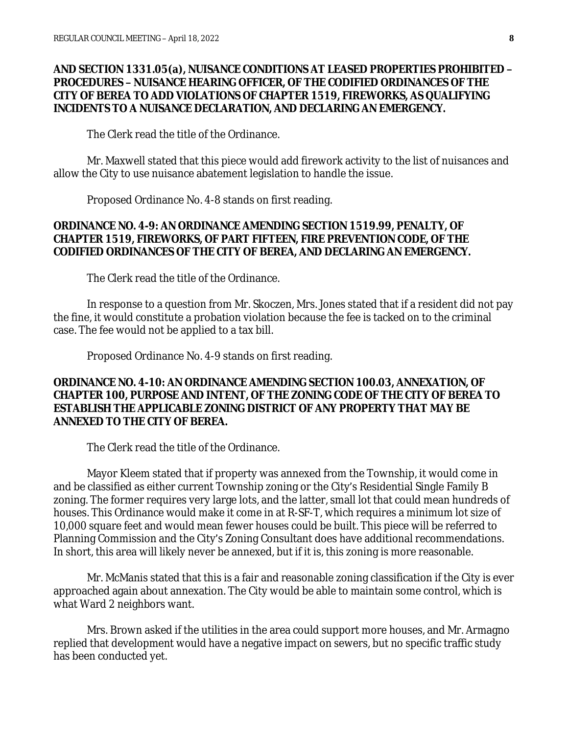## **AND SECTION 1331.05(a), NUISANCE CONDITIONS AT LEASED PROPERTIES PROHIBITED – PROCEDURES – NUISANCE HEARING OFFICER, OF THE CODIFIED ORDINANCES OF THE CITY OF BEREA TO ADD VIOLATIONS OF CHAPTER 1519, FIREWORKS, AS QUALIFYING INCIDENTS TO A NUISANCE DECLARATION, AND DECLARING AN EMERGENCY.**

The Clerk read the title of the Ordinance.

Mr. Maxwell stated that this piece would add firework activity to the list of nuisances and allow the City to use nuisance abatement legislation to handle the issue.

Proposed Ordinance No. 4-8 stands on first reading.

## **ORDINANCE NO. 4-9: AN ORDINANCE AMENDING SECTION 1519.99, PENALTY, OF CHAPTER 1519, FIREWORKS, OF PART FIFTEEN, FIRE PREVENTION CODE, OF THE CODIFIED ORDINANCES OF THE CITY OF BEREA, AND DECLARING AN EMERGENCY.**

The Clerk read the title of the Ordinance.

In response to a question from Mr. Skoczen, Mrs. Jones stated that if a resident did not pay the fine, it would constitute a probation violation because the fee is tacked on to the criminal case. The fee would not be applied to a tax bill.

Proposed Ordinance No. 4-9 stands on first reading.

## **ORDINANCE NO. 4-10: AN ORDINANCE AMENDING SECTION 100.03, ANNEXATION, OF CHAPTER 100, PURPOSE AND INTENT, OF THE ZONING CODE OF THE CITY OF BEREA TO ESTABLISH THE APPLICABLE ZONING DISTRICT OF ANY PROPERTY THAT MAY BE ANNEXED TO THE CITY OF BEREA.**

The Clerk read the title of the Ordinance.

Mayor Kleem stated that if property was annexed from the Township, it would come in and be classified as either current Township zoning or the City's Residential Single Family B zoning. The former requires very large lots, and the latter, small lot that could mean hundreds of houses. This Ordinance would make it come in at R-SF-T, which requires a minimum lot size of 10,000 square feet and would mean fewer houses could be built. This piece will be referred to Planning Commission and the City's Zoning Consultant does have additional recommendations. In short, this area will likely never be annexed, but if it is, this zoning is more reasonable.

Mr. McManis stated that this is a fair and reasonable zoning classification if the City is ever approached again about annexation. The City would be able to maintain some control, which is what Ward 2 neighbors want.

Mrs. Brown asked if the utilities in the area could support more houses, and Mr. Armagno replied that development would have a negative impact on sewers, but no specific traffic study has been conducted yet.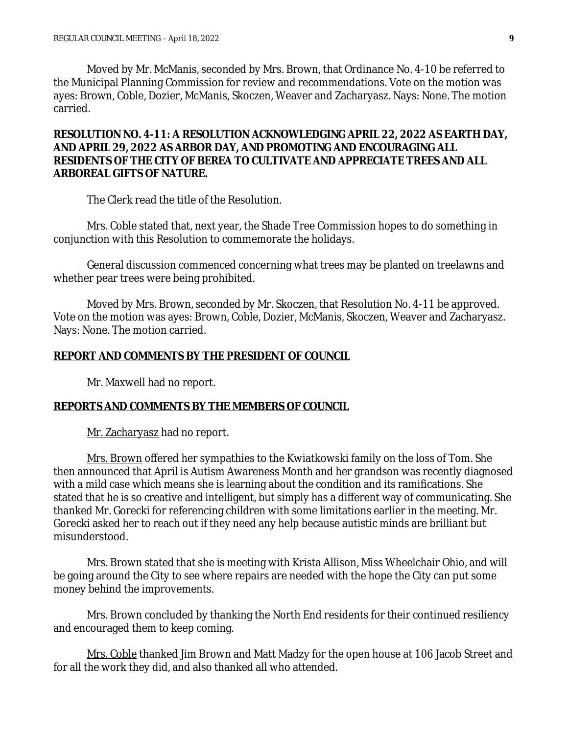Moved by Mr. McManis, seconded by Mrs. Brown, that Ordinance No. 4-10 be referred to the Municipal Planning Commission for review and recommendations. Vote on the motion was ayes: Brown, Coble, Dozier, McManis, Skoczen, Weaver and Zacharyasz. Nays: None. The motion carried.

## **RESOLUTION NO. 4-11: A RESOLUTION ACKNOWLEDGING APRIL 22, 2022 AS EARTH DAY, AND APRIL 29, 2022 AS ARBOR DAY, AND PROMOTING AND ENCOURAGING ALL RESIDENTS OF THE CITY OF BEREA TO CULTIVATE AND APPRECIATE TREES AND ALL ARBOREAL GIFTS OF NATURE.**

The Clerk read the title of the Resolution.

Mrs. Coble stated that, next year, the Shade Tree Commission hopes to do something in conjunction with this Resolution to commemorate the holidays.

General discussion commenced concerning what trees may be planted on treelawns and whether pear trees were being prohibited.

Moved by Mrs. Brown, seconded by Mr. Skoczen, that Resolution No. 4-11 be approved. Vote on the motion was ayes: Brown, Coble, Dozier, McManis, Skoczen, Weaver and Zacharyasz. Nays: None. The motion carried.

## **REPORT AND COMMENTS BY THE PRESIDENT OF COUNCIL**

Mr. Maxwell had no report.

### **REPORTS AND COMMENTS BY THE MEMBERS OF COUNCIL**

Mr. Zacharyasz had no report.

Mrs. Brown offered her sympathies to the Kwiatkowski family on the loss of Tom. She then announced that April is Autism Awareness Month and her grandson was recently diagnosed with a mild case which means she is learning about the condition and its ramifications. She stated that he is so creative and intelligent, but simply has a different way of communicating. She thanked Mr. Gorecki for referencing children with some limitations earlier in the meeting. Mr. Gorecki asked her to reach out if they need any help because autistic minds are brilliant but misunderstood.

Mrs. Brown stated that she is meeting with Krista Allison, Miss Wheelchair Ohio, and will be going around the City to see where repairs are needed with the hope the City can put some money behind the improvements.

Mrs. Brown concluded by thanking the North End residents for their continued resiliency and encouraged them to keep coming.

Mrs. Coble thanked Jim Brown and Matt Madzy for the open house at 106 Jacob Street and for all the work they did, and also thanked all who attended.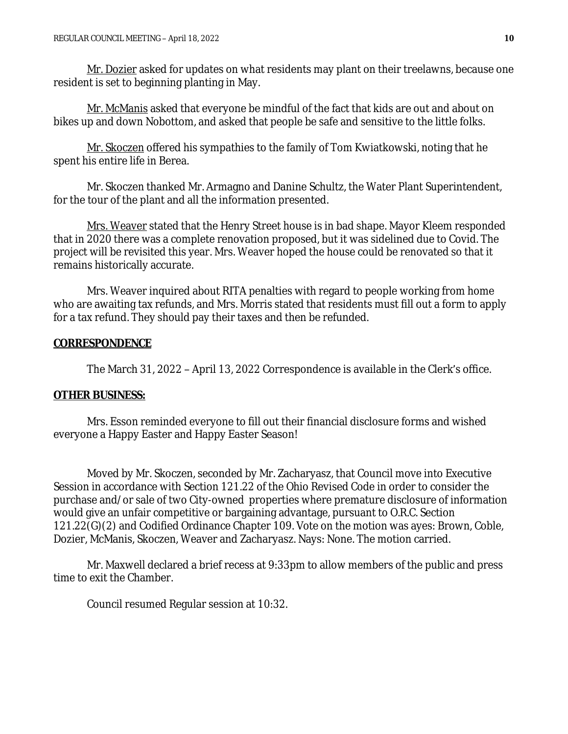Mr. Dozier asked for updates on what residents may plant on their treelawns, because one resident is set to beginning planting in May.

Mr. McManis asked that everyone be mindful of the fact that kids are out and about on bikes up and down Nobottom, and asked that people be safe and sensitive to the little folks.

Mr. Skoczen offered his sympathies to the family of Tom Kwiatkowski, noting that he spent his entire life in Berea.

Mr. Skoczen thanked Mr. Armagno and Danine Schultz, the Water Plant Superintendent, for the tour of the plant and all the information presented.

Mrs. Weaver stated that the Henry Street house is in bad shape. Mayor Kleem responded that in 2020 there was a complete renovation proposed, but it was sidelined due to Covid. The project will be revisited this year. Mrs. Weaver hoped the house could be renovated so that it remains historically accurate.

Mrs. Weaver inquired about RITA penalties with regard to people working from home who are awaiting tax refunds, and Mrs. Morris stated that residents must fill out a form to apply for a tax refund. They should pay their taxes and then be refunded.

## **CORRESPONDENCE**

The March 31, 2022 – April 13, 2022 Correspondence is available in the Clerk's office.

## **OTHER BUSINESS:**

Mrs. Esson reminded everyone to fill out their financial disclosure forms and wished everyone a Happy Easter and Happy Easter Season!

Moved by Mr. Skoczen, seconded by Mr. Zacharyasz, that Council move into Executive Session in accordance with Section 121.22 of the Ohio Revised Code in order to consider the purchase and/or sale of two City-owned properties where premature disclosure of information would give an unfair competitive or bargaining advantage, pursuant to O.R.C. Section 121.22(G)(2) and Codified Ordinance Chapter 109. Vote on the motion was ayes: Brown, Coble, Dozier, McManis, Skoczen, Weaver and Zacharyasz. Nays: None. The motion carried.

Mr. Maxwell declared a brief recess at 9:33pm to allow members of the public and press time to exit the Chamber.

Council resumed Regular session at 10:32.